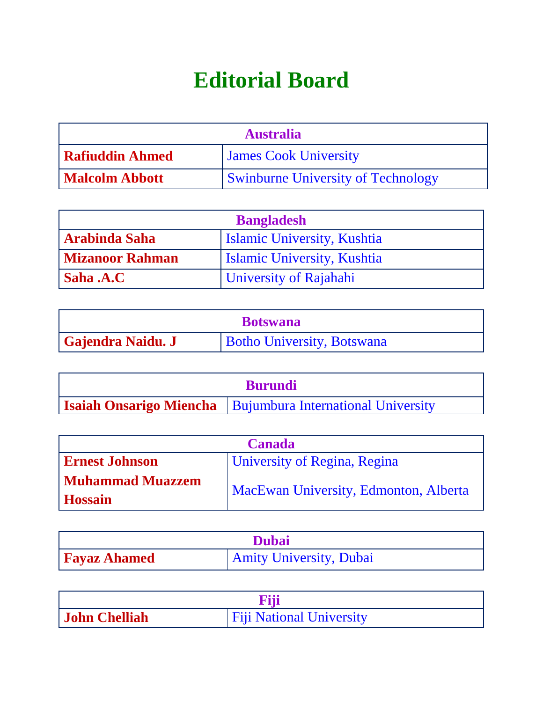## **Editorial Board**

| <b>Australia</b>       |                                           |
|------------------------|-------------------------------------------|
| <b>Rafiuddin Ahmed</b> | <b>James Cook University</b>              |
| Malcolm Abbott         | <b>Swinburne University of Technology</b> |

| <b>Bangladesh</b>      |                                    |
|------------------------|------------------------------------|
| Arabinda Saha          | <b>Islamic University, Kushtia</b> |
| Mizanoor Rahman        | <b>Islamic University, Kushtia</b> |
| $\mathsf{I}$ Saha .A.C | <b>University of Rajahahi</b>      |

| <b>Botswana</b>   |                                   |
|-------------------|-----------------------------------|
| Gajendra Naidu. J | <b>Botho University, Botswana</b> |

| <b>Burundi</b> |                                                                     |
|----------------|---------------------------------------------------------------------|
|                | <b>Isaiah Onsarigo Miencha</b>   Bujumbura International University |

| <b>Canada</b>           |                                              |
|-------------------------|----------------------------------------------|
| <b>Ernest Johnson</b>   | <b>University of Regina, Regina</b>          |
| <b>Muhammad Muazzem</b> | <b>MacEwan University, Edmonton, Alberta</b> |
| <b>Hossain</b>          |                                              |

| <b>Dubai</b>        |                                |
|---------------------|--------------------------------|
| <b>Fayaz Ahamed</b> | <b>Amity University, Dubai</b> |

| <b>Fiii</b>          |                                 |
|----------------------|---------------------------------|
| <b>John Chelliah</b> | <b>Fiji National University</b> |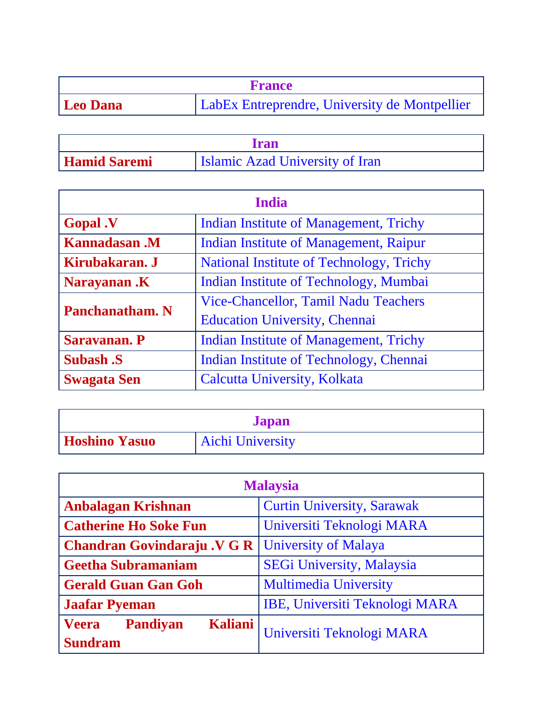| <b>France</b>   |                                               |
|-----------------|-----------------------------------------------|
| <b>Leo Dana</b> | LabEx Entreprendre, University de Montpellier |

| <b>Iran</b>         |                                        |
|---------------------|----------------------------------------|
| <b>Hamid Saremi</b> | <b>Islamic Azad University of Iran</b> |

| <b>India</b>           |                                               |  |
|------------------------|-----------------------------------------------|--|
| <b>Gopal</b> .V        | Indian Institute of Management, Trichy        |  |
| <b>Kannadasan</b> .M   | <b>Indian Institute of Management, Raipur</b> |  |
| Kirubakaran. J         | National Institute of Technology, Trichy      |  |
| <b>Narayanan.K</b>     | Indian Institute of Technology, Mumbai        |  |
| <b>Panchanatham. N</b> | Vice-Chancellor, Tamil Nadu Teachers          |  |
|                        | <b>Education University, Chennai</b>          |  |
| <b>Saravanan. P</b>    | <b>Indian Institute of Management, Trichy</b> |  |
| <b>Subash .S</b>       | Indian Institute of Technology, Chennai       |  |
| <b>Swagata Sen</b>     | Calcutta University, Kolkata                  |  |

| <b>Japan</b>         |                         |
|----------------------|-------------------------|
| <b>Hoshino Yasuo</b> | <b>Aichi University</b> |

| <b>Malaysia</b>                                   |                                   |  |
|---------------------------------------------------|-----------------------------------|--|
| <b>Anbalagan Krishnan</b>                         | <b>Curtin University, Sarawak</b> |  |
| <b>Catherine Ho Soke Fun</b>                      | Universiti Teknologi MARA         |  |
| <b>Chandran Govindaraju .V G R</b>                | <b>University of Malaya</b>       |  |
| <b>Geetha Subramaniam</b>                         | SEGi University, Malaysia         |  |
| <b>Gerald Guan Gan Goh</b>                        | <b>Multimedia University</b>      |  |
| <b>Jaafar Pyeman</b>                              | IBE, Universiti Teknologi MARA    |  |
| <b>Kaliani</b><br><b>Veera</b><br><b>Pandiyan</b> | Universiti Teknologi MARA         |  |
| <b>Sundram</b>                                    |                                   |  |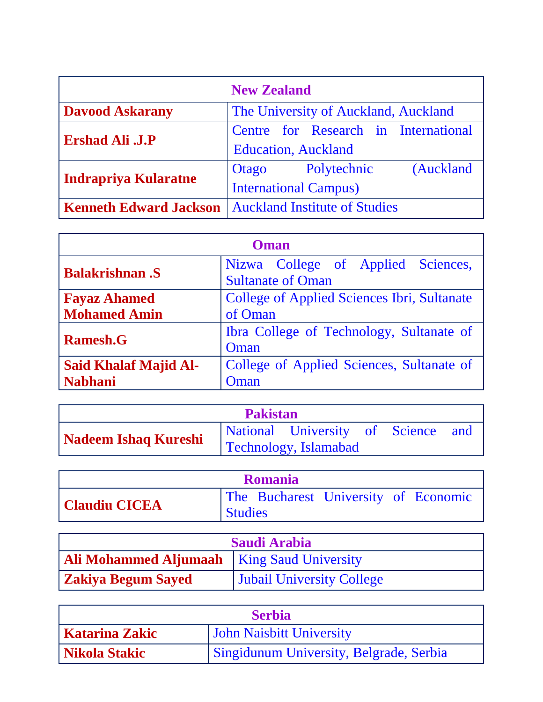| <b>New Zealand</b>            |                                                                     |  |  |
|-------------------------------|---------------------------------------------------------------------|--|--|
| <b>Davood Askarany</b>        | The University of Auckland, Auckland                                |  |  |
| <b>Ershad Ali .J.P</b>        | Centre for Research in International<br><b>Education</b> , Auckland |  |  |
|                               | Polytechnic<br>(Auckland<br>Otago                                   |  |  |
| Indrapriya Kularatne          | <b>International Campus)</b>                                        |  |  |
| <b>Kenneth Edward Jackson</b> | <b>Auckland Institute of Studies</b>                                |  |  |

| Oman                         |                                                                |  |  |  |
|------------------------------|----------------------------------------------------------------|--|--|--|
| <b>Balakrishnan</b> .S       | Nizwa College of Applied Sciences,<br><b>Sultanate of Oman</b> |  |  |  |
| <b>Fayaz Ahamed</b>          | <b>College of Applied Sciences Ibri, Sultanate</b>             |  |  |  |
| <b>Mohamed Amin</b>          | of Oman                                                        |  |  |  |
| <b>Ramesh.G</b>              | Ibra College of Technology, Sultanate of                       |  |  |  |
|                              | Oman                                                           |  |  |  |
| <b>Said Khalaf Majid Al-</b> | College of Applied Sciences, Sultanate of                      |  |  |  |
| <b>Nabhani</b>               | Oman                                                           |  |  |  |

| <b>Pakistan</b>             |  |                                                             |  |  |  |
|-----------------------------|--|-------------------------------------------------------------|--|--|--|
| <b>Nadeem Ishaq Kureshi</b> |  | National University of Science and<br>Technology, Islamabad |  |  |  |

| <b>Romania</b>       |                |  |                                      |  |
|----------------------|----------------|--|--------------------------------------|--|
|                      |                |  | The Bucharest University of Economic |  |
| <b>Claudiu CICEA</b> | <b>Studies</b> |  |                                      |  |

| <b>Saudi Arabia</b>                                 |                                  |  |
|-----------------------------------------------------|----------------------------------|--|
| <b>Ali Mohammed Aljumaah</b>   King Saud University |                                  |  |
| <b>Zakiya Begum Sayed</b>                           | <b>Jubail University College</b> |  |

| <b>Serbia</b>  |                                         |  |
|----------------|-----------------------------------------|--|
| Katarina Zakic | <b>John Naisbitt University</b>         |  |
| Nikola Stakic  | Singidunum University, Belgrade, Serbia |  |